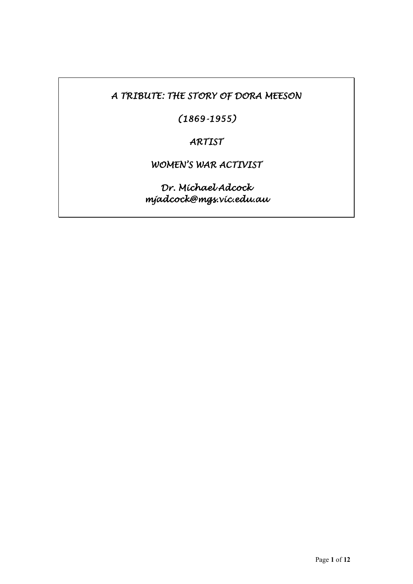*A TRIBUTE: THE STORY OF DORA MEESON* 

*(1869-1955)* 

*ARTIST* 

*WOMEN'S WAR ACTIVIST* 

*Dr. Michael Adcock mjadcock@mgs.vic.edu.au*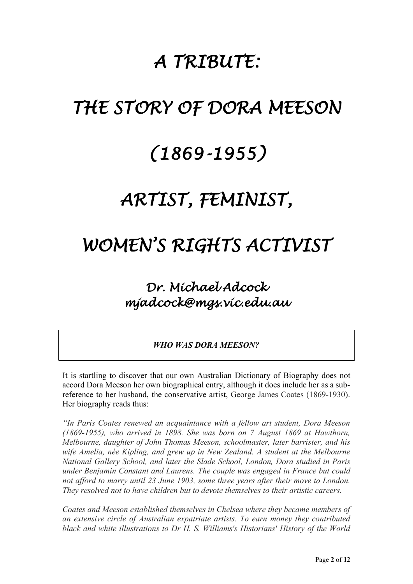# *A TRIBUTE:*

# *THE STORY OF DORA MEESON*

# *(1869-1955)*

# *ARTIST, FEMINIST,*

# *WOMEN'S RIGHTS ACTIVIST*

# *Dr. Michael Adcock mjadcock@mgs.vic.edu.au*

*WHO WAS DORA MEESON?*

It is startling to discover that our own Australian Dictionary of Biography does not accord Dora Meeson her own biographical entry, although it does include her as a subreference to her husband, the conservative artist, George James Coates (1869-1930). Her biography reads thus:

*"In Paris Coates renewed an acquaintance with a fellow art student, Dora Meeson (1869-1955), who arrived in 1898. She was born on 7 August 1869 at Hawthorn, Melbourne, daughter of John Thomas Meeson, schoolmaster, later barrister, and his wife Amelia, née Kipling, and grew up in New Zealand. A student at the Melbourne National Gallery School, and later the Slade School, London, Dora studied in Paris under Benjamin Constant and Laurens. The couple was engaged in France but could not afford to marry until 23 June 1903, some three years after their move to London. They resolved not to have children but to devote themselves to their artistic careers.*

*Coates and Meeson established themselves in Chelsea where they became members of an extensive circle of Australian expatriate artists. To earn money they contributed black and white illustrations to Dr H. S. Williams's Historians' History of the World*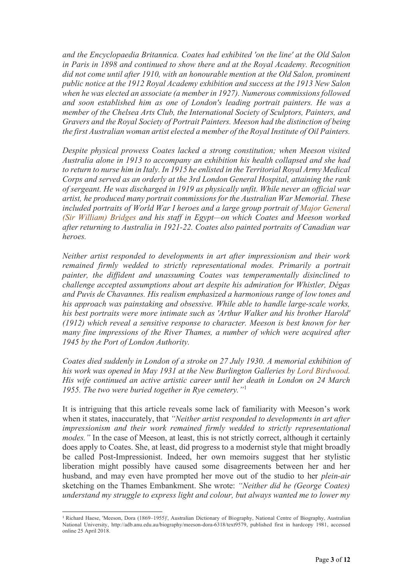*and the Encyclopaedia Britannica. Coates had exhibited 'on the line' at the Old Salon in Paris in 1898 and continued to show there and at the Royal Academy. Recognition did not come until after 1910, with an honourable mention at the Old Salon, prominent public notice at the 1912 Royal Academy exhibition and success at the 1913 New Salon when he was elected an associate (a member in 1927). Numerous commissions followed and soon established him as one of London's leading portrait painters. He was a member of the Chelsea Arts Club, the International Society of Sculptors, Painters, and Gravers and the Royal Society of Portrait Painters. Meeson had the distinction of being the first Australian woman artist elected a member of the Royal Institute of Oil Painters.*

*Despite physical prowess Coates lacked a strong constitution; when Meeson visited Australia alone in 1913 to accompany an exhibition his health collapsed and she had to return to nurse him in Italy. In 1915 he enlisted in the Territorial Royal Army Medical Corps and served as an orderly at the 3rd London General Hospital, attaining the rank of sergeant. He was discharged in 1919 as physically unfit. While never an official war artist, he produced many portrait commissions for the Australian War Memorial. These included portraits of World War I heroes and a large group portrait of [Major General](http://adb.anu.edu.au/biography/bridges-william-throsby-5355)  [\(Sir William\) Bridges](http://adb.anu.edu.au/biography/bridges-william-throsby-5355) and his staff in Egypt—on which Coates and Meeson worked after returning to Australia in 1921-22. Coates also painted portraits of Canadian war heroes.*

*Neither artist responded to developments in art after impressionism and their work remained firmly wedded to strictly representational modes. Primarily a portrait painter, the diffident and unassuming Coates was temperamentally disinclined to challenge accepted assumptions about art despite his admiration for Whistler, Dégas and Puvis de Chavannes. His realism emphasized a harmonious range of low tones and his approach was painstaking and obsessive. While able to handle large-scale works, his best portraits were more intimate such as 'Arthur Walker and his brother Harold' (1912) which reveal a sensitive response to character. Meeson is best known for her many fine impressions of the River Thames, a number of which were acquired after 1945 by the Port of London Authority.*

*Coates died suddenly in London of a stroke on 27 July 1930. A memorial exhibition of his work was opened in May 1931 at the New Burlington Galleries by [Lord Birdwood.](http://adb.anu.edu.au/biography/birdwood-william-riddell-baron-birdwood-5240) His wife continued an active artistic career until her death in London on 24 March 1955. The two were buried together in Rye cemetery."*[1](#page-2-0)

It is intriguing that this article reveals some lack of familiarity with Meeson's work when it states, inaccurately, that *"Neither artist responded to developments in art after impressionism and their work remained firmly wedded to strictly representational modes.*" In the case of Meeson, at least, this is not strictly correct, although it certainly does apply to Coates. She, at least, did progress to a modernist style that might broadly be called Post-Impressionist. Indeed, her own memoirs suggest that her stylistic liberation might possibly have caused some disagreements between her and her husband, and may even have prompted her move out of the studio to her *plein-air* sketching on the Thames Embankment. She wrote: *"Neither did he (George Coates) understand my struggle to express light and colour, but always wanted me to lower my* 

<span id="page-2-0"></span><sup>1</sup> Richard Haese, 'Meeson, Dora (1869–1955)', Australian Dictionary of Biography, National Centre of Biography, Australian National University, http://adb.anu.edu.au/biography/meeson-dora-6318/text9579, published first in hardcopy 1981, accessed online 25 April 2018.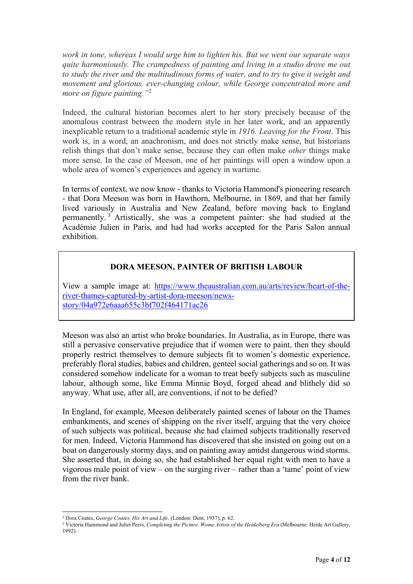*work in tone, whereas I would urge him to lighten his. But we went our separate ways quite harmoniously. The crampedness of painting and living in a studio drove me out to study the river and the multitudinous forms of water, and to try to give it weight and movement and glorious, ever-changing colour, while George concentrated more and more on figure painting."*[2](#page-3-0)

Indeed, the cultural historian becomes alert to her story precisely because of the anomalous contrast between the modern style in her later work, and an apparently inexplicable return to a traditional academic style in *1916. Leaving for the Front*. This work is, in a word, an anachronism, and does not strictly make sense, but historians relish things that don't make sense, because they can often make *other* things make more sense. In the case of Meeson, one of her paintings will open a window upon a whole area of women's experiences and agency in wartime.

In terms of context, we now know - thanks to Victoria Hammond's pioneering research - that Dora Meeson was born in Hawthorn, Melbourne, in 1869, and that her family lived variously in Australia and New Zealand, before moving back to England permanently. [3](#page-3-1) Artistically, she was a competent painter: she had studied at the Académie Julien in Paris, and had had works accepted for the Paris Salon annual exhibition.

#### **DORA MEESON, PAINTER OF BRITISH LABOUR**

View a sample image at: [https://www.theaustralian.com.au/arts/review/heart-of-the](https://www.theaustralian.com.au/arts/review/heart-of-the-river-thames-captured-by-artist-dora-meeson/news-story/04a972e6aaa655c3bf702f464171ac26)[river-thames-captured-by-artist-dora-meeson/news](https://www.theaustralian.com.au/arts/review/heart-of-the-river-thames-captured-by-artist-dora-meeson/news-story/04a972e6aaa655c3bf702f464171ac26)[story/04a972e6aaa655c3bf702f464171ac26](https://www.theaustralian.com.au/arts/review/heart-of-the-river-thames-captured-by-artist-dora-meeson/news-story/04a972e6aaa655c3bf702f464171ac26)

Meeson was also an artist who broke boundaries. In Australia, as in Europe, there was still a pervasive conservative prejudice that if women were to paint, then they should properly restrict themselves to demure subjects fit to women's domestic experience, preferably floral studies, babies and children, genteel social gatherings and so on. It was considered somehow indelicate for a woman to treat beefy subjects such as masculine labour, although some, like Emma Minnie Boyd, forged ahead and blithely did so anyway. What use, after all, are conventions, if not to be defied?

In England, for example, Meeson deliberately painted scenes of labour on the Thames embankments, and scenes of shipping on the river itself, arguing that the very choice of such subjects was political, because she had claimed subjects traditionally reserved for men. Indeed, Victoria Hammond has discovered that she insisted on going out on a boat on dangerously stormy days, and on painting away amidst dangerous wind storms. She asserted that, in doing so, she had established her equal right with men to have a vigorous male point of view – on the surging river – rather than a 'tame' point of view from the river bank.

<sup>2</sup> Dora Coates, *George Coates. His Art and Life.* (London: Dent, 1937), p. 62.

<span id="page-3-1"></span><span id="page-3-0"></span><sup>3</sup> Victoria Hammond and Juliet Peers, *Completing the Picture. Wome Artists of the Heidelberg Era* (Melbourne: Heide Art Gallery, 1992).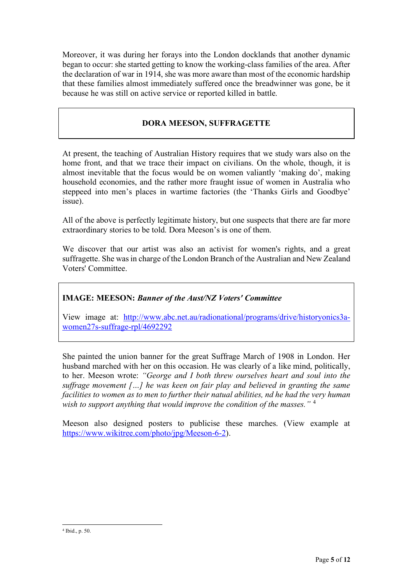Moreover, it was during her forays into the London docklands that another dynamic began to occur: she started getting to know the working-class families of the area. After the declaration of war in 1914, she was more aware than most of the economic hardship that these families almost immediately suffered once the breadwinner was gone, be it because he was still on active service or reported killed in battle.

# **DORA MEESON, SUFFRAGETTE**

At present, the teaching of Australian History requires that we study wars also on the home front, and that we trace their impact on civilians. On the whole, though, it is almost inevitable that the focus would be on women valiantly 'making do', making household economies, and the rather more fraught issue of women in Australia who steppeed into men's places in wartime factories (the 'Thanks Girls and Goodbye' issue).

All of the above is perfectly legitimate history, but one suspects that there are far more extraordinary stories to be told. Dora Meeson's is one of them.

We discover that our artist was also an activist for women's rights, and a great suffragette. She was in charge of the London Branch of the Australian and New Zealand Voters' Committee.

### **IMAGE: MEESON:** *Banner of the Aust/NZ Voters' Committee*

View image at: [http://www.abc.net.au/radionational/programs/drive/historyonics3a](http://www.abc.net.au/radionational/programs/drive/historyonics3a-women27s-suffrage-rpl/4692292)[women27s-suffrage-rpl/4692292](http://www.abc.net.au/radionational/programs/drive/historyonics3a-women27s-suffrage-rpl/4692292)

She painted the union banner for the great Suffrage March of 1908 in London. Her husband marched with her on this occasion. He was clearly of a like mind, politically, to her. Meeson wrote: *"George and I both threw ourselves heart and soul into the suffrage movement […] he was keen on fair play and believed in granting the same facilities to women as to men to further their natual abilities, nd he had the very human wish to support anything that would improve the condition of the masses."* [4](#page-4-0)

Meeson also designed posters to publicise these marches. (View example at [https://www.wikitree.com/photo/jpg/Meeson-6-2\)](https://www.wikitree.com/photo/jpg/Meeson-6-2).

<span id="page-4-0"></span><sup>4</sup> Ibid., p. 50.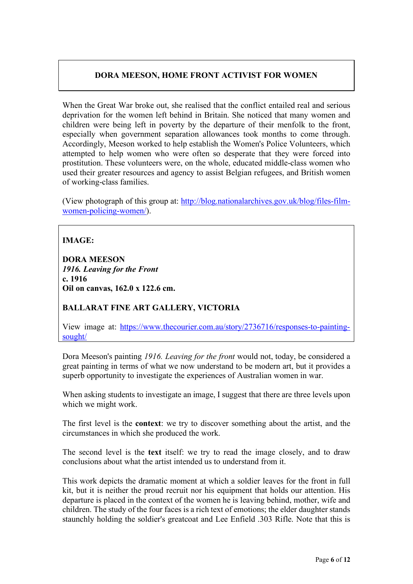# **DORA MEESON, HOME FRONT ACTIVIST FOR WOMEN**

When the Great War broke out, she realised that the conflict entailed real and serious deprivation for the women left behind in Britain. She noticed that many women and children were being left in poverty by the departure of their menfolk to the front, especially when government separation allowances took months to come through. Accordingly, Meeson worked to help establish the Women's Police Volunteers, which attempted to help women who were often so desperate that they were forced into prostitution. These volunteers were, on the whole, educated middle-class women who used their greater resources and agency to assist Belgian refugees, and British women of working-class families.

(View photograph of this group at: [http://blog.nationalarchives.gov.uk/blog/files-film](http://blog.nationalarchives.gov.uk/blog/files-film-women-policing-women/)[women-policing-women/\)](http://blog.nationalarchives.gov.uk/blog/files-film-women-policing-women/).

# **IMAGE:**

**DORA MEESON** *1916. Leaving for the Front* **c. 1916 Oil on canvas, 162.0 x 122.6 cm.**

### **BALLARAT FINE ART GALLERY, VICTORIA**

View image at: [https://www.thecourier.com.au/story/2736716/responses-to-painting](https://www.thecourier.com.au/story/2736716/responses-to-painting-sought/)[sought/](https://www.thecourier.com.au/story/2736716/responses-to-painting-sought/)

Dora Meeson's painting *1916. Leaving for the front* would not, today, be considered a great painting in terms of what we now understand to be modern art, but it provides a superb opportunity to investigate the experiences of Australian women in war.

When asking students to investigate an image, I suggest that there are three levels upon which we might work.

The first level is the **context**: we try to discover something about the artist, and the circumstances in which she produced the work.

The second level is the **text** itself: we try to read the image closely, and to draw conclusions about what the artist intended us to understand from it.

This work depicts the dramatic moment at which a soldier leaves for the front in full kit, but it is neither the proud recruit nor his equipment that holds our attention. His departure is placed in the context of the women he is leaving behind, mother, wife and children. The study of the four faces is a rich text of emotions; the elder daughter stands staunchly holding the soldier's greatcoat and Lee Enfield .303 Rifle. Note that this is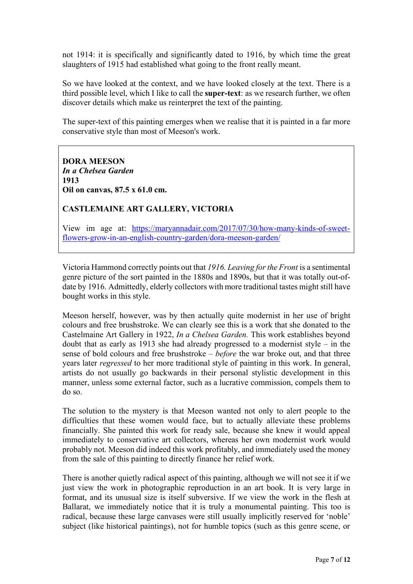not 1914: it is specifically and significantly dated to 1916, by which time the great slaughters of 1915 had established what going to the front really meant.

So we have looked at the context, and we have looked closely at the text. There is a third possible level, which I like to call the **super-text**: as we research further, we often discover details which make us reinterpret the text of the painting.

The super-text of this painting emerges when we realise that it is painted in a far more conservative style than most of Meeson's work.

**DORA MEESON** *In a Chelsea Garden* **1913 Oil on canvas, 87.5 x 61.0 cm.**

#### **CASTLEMAINE ART GALLERY, VICTORIA**

View im age at: [https://maryannadair.com/2017/07/30/how-many-kinds-of-sweet](https://maryannadair.com/2017/07/30/how-many-kinds-of-sweet-flowers-grow-in-an-english-country-garden/dora-meeson-garden/)[flowers-grow-in-an-english-country-garden/dora-meeson-garden/](https://maryannadair.com/2017/07/30/how-many-kinds-of-sweet-flowers-grow-in-an-english-country-garden/dora-meeson-garden/)

Victoria Hammond correctly points out that *1916. Leaving for the Front* is a sentimental genre picture of the sort painted in the 1880s and 1890s, but that it was totally out-ofdate by 1916. Admittedly, elderly collectors with more traditional tastes might still have bought works in this style.

Meeson herself, however, was by then actually quite modernist in her use of bright colours and free brushstroke. We can clearly see this is a work that she donated to the Castelmaine Art Gallery in 1922, *In a Chelsea Garden.* This work establishes beyond doubt that as early as 1913 she had already progressed to a modernist style – in the sense of bold colours and free brushstroke – *before* the war broke out, and that three years later *regressed* to her more traditional style of painting in this work. In general, artists do not usually go backwards in their personal stylistic development in this manner, unless some external factor, such as a lucrative commission, compels them to do so.

The solution to the mystery is that Meeson wanted not only to alert people to the difficulties that these women would face, but to actually alleviate these problems financially. She painted this work for ready sale, because she knew it would appeal immediately to conservative art collectors, whereas her own modernist work would probably not. Meeson did indeed this work profitably, and immediately used the money from the sale of this painting to directly finance her relief work.

There is another quietly radical aspect of this painting, although we will not see it if we just view the work in photographic reproduction in an art book. It is very large in format, and its unusual size is itself subversive. If we view the work in the flesh at Ballarat, we immediately notice that it is truly a monumental painting. This too is radical, because these large canvases were still usually implicitly reserved for 'noble' subject (like historical paintings), not for humble topics (such as this genre scene, or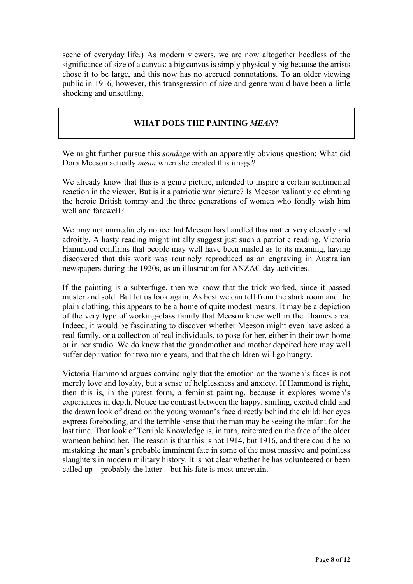scene of everyday life.) As modern viewers, we are now altogether heedless of the significance of size of a canvas: a big canvas is simply physically big because the artists chose it to be large, and this now has no accrued connotations. To an older viewing public in 1916, however, this transgression of size and genre would have been a little shocking and unsettling.

## **WHAT DOES THE PAINTING** *MEAN***?**

We might further pursue this *sondage* with an apparently obvious question: What did Dora Meeson actually *mean* when she created this image?

We already know that this is a genre picture, intended to inspire a certain sentimental reaction in the viewer. But is it a patriotic war picture? Is Meeson valiantly celebrating the heroic British tommy and the three generations of women who fondly wish him well and farewell?

We may not immediately notice that Meeson has handled this matter very cleverly and adroitly. A hasty reading might intially suggest just such a patriotic reading. Victoria Hammond confirms that people may well have been misled as to its meaning, having discovered that this work was routinely reproduced as an engraving in Australian newspapers during the 1920s, as an illustration for ANZAC day activities.

If the painting is a subterfuge, then we know that the trick worked, since it passed muster and sold. But let us look again. As best we can tell from the stark room and the plain clothing, this appears to be a home of quite modest means. It may be a depiction of the very type of working-class family that Meeson knew well in the Thames area. Indeed, it would be fascinating to discover whether Meeson might even have asked a real family, or a collection of real individuals, to pose for her, either in their own home or in her studio. We do know that the grandmother and mother depcited here may well suffer deprivation for two more years, and that the children will go hungry.

Victoria Hammond argues convincingly that the emotion on the women's faces is not merely love and loyalty, but a sense of helplessness and anxiety. If Hammond is right, then this is, in the purest form, a feminist painting, because it explores women's experiences in depth. Notice the contrast between the happy, smiling, excited child and the drawn look of dread on the young woman's face directly behind the child: her eyes express foreboding, and the terrible sense that the man may be seeing the infant for the last time. That look of Terrible Knowledge is, in turn, reiterated on the face of the older womean behind her. The reason is that this is not 1914, but 1916, and there could be no mistaking the man's probable imminent fate in some of the most massive and pointless slaughters in modern military history. It is not clear whether he has volunteered or been called up – probably the latter – but his fate is most uncertain.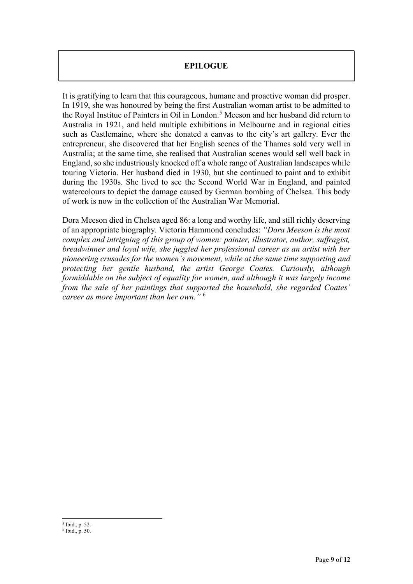### **EPILOGUE**

It is gratifying to learn that this courageous, humane and proactive woman did prosper. In 1919, she was honoured by being the first Australian woman artist to be admitted to the Royal Institue of Painters in Oil in London.<sup>[5](#page-8-0)</sup> Meeson and her husband did return to Australia in 1921, and held multiple exhibitions in Melbourne and in regional cities such as Castlemaine, where she donated a canvas to the city's art gallery. Ever the entrepreneur, she discovered that her English scenes of the Thames sold very well in Australia; at the same time, she realised that Australian scenes would sell well back in England, so she industriously knocked off a whole range of Australian landscapes while touring Victoria. Her husband died in 1930, but she continued to paint and to exhibit during the 1930s. She lived to see the Second World War in England, and painted watercolours to depict the damage caused by German bombing of Chelsea. This body of work is now in the collection of the Australian War Memorial.

Dora Meeson died in Chelsea aged 86: a long and worthy life, and still richly deserving of an appropriate biography. Victoria Hammond concludes: *"Dora Meeson is the most complex and intriguing of this group of women: painter, illustrator, author, suffragist, breadwinner and loyal wife, she juggled her professional career as an artist with her pioneering crusades for the women's movement, while at the same time supporting and protecting her gentle husband, the artist George Coates. Curiously, although formiddable on the subject of equality for women, and although it was largely income from the sale of her paintings that supported the household, she regarded Coates' career as more important than her own."* [6](#page-8-1)

<span id="page-8-0"></span><sup>5</sup> Ibid., p. 52.

<span id="page-8-1"></span><sup>6</sup> Ibid., p. 50.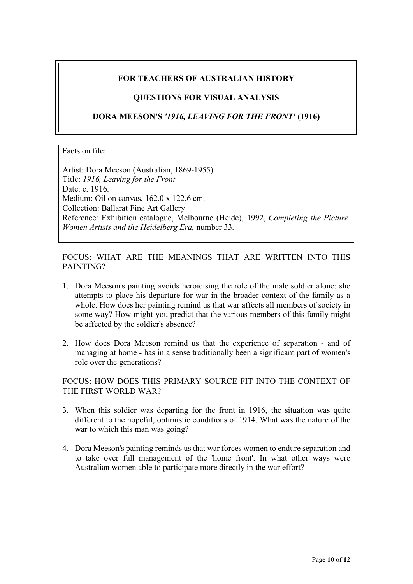## **FOR TEACHERS OF AUSTRALIAN HISTORY**

### **QUESTIONS FOR VISUAL ANALYSIS**

**DORA MEESON'S** *'1916, LEAVING FOR THE FRONT'* **(1916)**

#### Facts on file:

Artist: Dora Meeson (Australian, 1869-1955) Title: *1916, Leaving for the Front* Date: c. 1916. Medium: Oil on canvas, 162.0 x 122.6 cm. Collection: Ballarat Fine Art Gallery Reference: Exhibition catalogue, Melbourne (Heide), 1992, *Completing the Picture. Women Artists and the Heidelberg Era,* number 33.

FOCUS: WHAT ARE THE MEANINGS THAT ARE WRITTEN INTO THIS PAINTING?

- 1. Dora Meeson's painting avoids heroicising the role of the male soldier alone: she attempts to place his departure for war in the broader context of the family as a whole. How does her painting remind us that war affects all members of society in some way? How might you predict that the various members of this family might be affected by the soldier's absence?
- 2. How does Dora Meeson remind us that the experience of separation and of managing at home - has in a sense traditionally been a significant part of women's role over the generations?

FOCUS: HOW DOES THIS PRIMARY SOURCE FIT INTO THE CONTEXT OF THE FIRST WORLD WAR?

- 3. When this soldier was departing for the front in 1916, the situation was quite different to the hopeful, optimistic conditions of 1914. What was the nature of the war to which this man was going?
- 4. Dora Meeson's painting reminds us that war forces women to endure separation and to take over full management of the 'home front'. In what other ways were Australian women able to participate more directly in the war effort?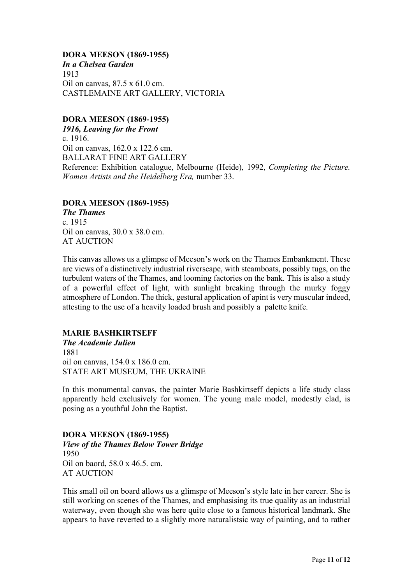**DORA MEESON (1869-1955)** *In a Chelsea Garden* 1913 Oil on canvas, 87.5 x 61.0 cm. CASTLEMAINE ART GALLERY, VICTORIA

#### **DORA MEESON (1869-1955)**

*1916, Leaving for the Front* c. 1916. Oil on canvas, 162.0 x 122.6 cm. BALLARAT FINE ART GALLERY Reference: Exhibition catalogue, Melbourne (Heide), 1992, *Completing the Picture. Women Artists and the Heidelberg Era,* number 33.

#### **DORA MEESON (1869-1955)**

*The Thames* c. 1915 Oil on canvas, 30.0 x 38.0 cm. AT AUCTION

This canvas allows us a glimpse of Meeson's work on the Thames Embankment. These are views of a distinctively industrial riverscape, with steamboats, possibly tugs, on the turbulent waters of the Thames, and looming factories on the bank. This is also a study of a powerful effect of light, with sunlight breaking through the murky foggy atmosphere of London. The thick, gestural application of apint is very muscular indeed, attesting to the use of a heavily loaded brush and possibly a palette knife.

#### **MARIE BASHKIRTSEFF**

*The Academie Julien* 1881 oil on canvas, 154.0 x 186.0 cm. STATE ART MUSEUM, THE UKRAINE

In this monumental canvas, the painter Marie Bashkirtseff depicts a life study class apparently held exclusively for women. The young male model, modestly clad, is posing as a youthful John the Baptist.

#### **DORA MEESON (1869-1955)**

*View of the Thames Below Tower Bridge* 1950 Oil on baord, 58.0 x 46.5. cm. AT AUCTION

This small oil on board allows us a glimspe of Meeson's style late in her career. She is still working on scenes of the Thames, and emphasising its true quality as an industrial waterway, even though she was here quite close to a famous historical landmark. She appears to have reverted to a slightly more naturalistsic way of painting, and to rather